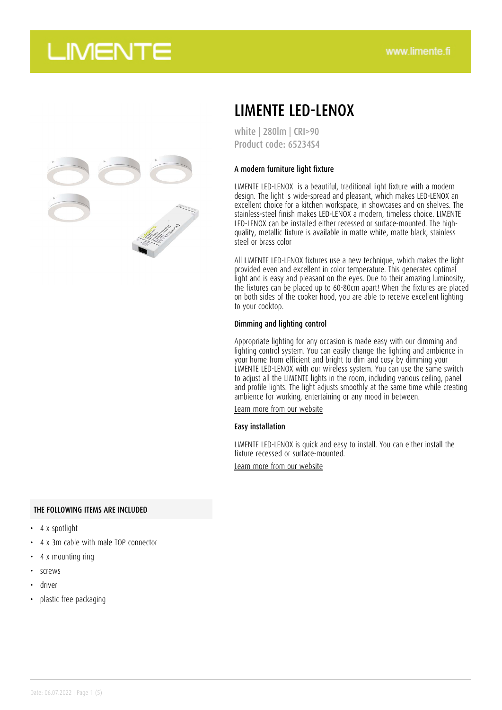

## LIMENTE LED-LENOX

white | 280lm | CRI>90 Product code: 65234S4

### A modern furniture light fixture

LIMENTE LED-LENOX is a beautiful, traditional light fixture with a modern design. The light is wide-spread and pleasant, which makes LED-LENOX an excellent choice for a kitchen workspace, in showcases and on shelves. The stainless-steel finish makes LED-LENOX a modern, timeless choice. LIMENTE LED-LENOX can be installed either recessed or surface-mounted. The highquality, metallic fixture is available in matte white, matte black, stainless steel or brass color

All LIMENTE LED-LENOX fixtures use a new technique, which makes the light provided even and excellent in color temperature. This generates optimal light and is easy and pleasant on the eyes. Due to their amazing luminosity, the fixtures can be placed up to 60-80cm apart! When the fixtures are placed on both sides of the cooker hood, you are able to receive excellent lighting to your cooktop.

### Dimming and lighting control

Appropriate lighting for any occasion is made easy with our dimming and lighting control system. You can easily change the lighting and ambience in your home from efficient and bright to dim and cosy by dimming your LIMENTE LED-LENOX with our wireless system. You can use the same switch to adjust all the LIMENTE lights in the room, including various ceiling, panel and profile lights. The light adjusts smoothly at the same time while creating ambience for working, entertaining or any mood in between.

[Learn more from our website](https://www.limente.fi/tuotteet/65234S4)

#### Easy installation

LIMENTE LED-LENOX is quick and easy to install. You can either install the fixture recessed or surface-mounted.

[Learn more from our website](https://www.limente.fi/tuotteet/65234S4)

### THE FOLLOWING ITEMS ARE INCLUDED

- 4 x spotlight
- 4 x 3m cable with male TOP connector
- 4 x mounting ring
- screws
- driver
- plastic free packaging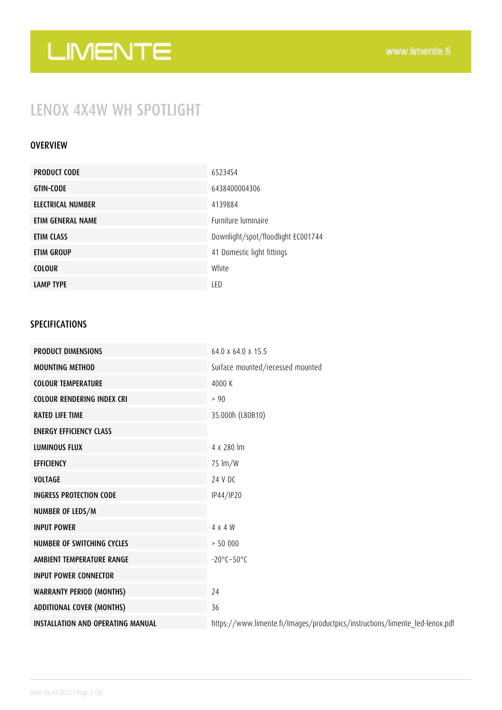## LENOX 4X4W WH SPOTLIGHT

### OVERVIEW

| <b>PRODUCT CODE</b> | 6523454                            |
|---------------------|------------------------------------|
| <b>GTIN-CODE</b>    | 6438400004306                      |
| ELECTRICAL NUMBER   | 4139884                            |
| ETIM GENERAL NAME   | <b>Furniture luminaire</b>         |
| ETIM CLASS          | Downlight/spot/floodlight EC001744 |
| ETIM GROUP          | 41 Domestic light fittings         |
| <b>COLOUR</b>       | White                              |
| <b>LAMP TYPE</b>    | LED                                |

### SPECIFICATIONS

| <b>PRODUCT DIMENSIONS</b>                | $64.0 \times 64.0 \times 15.5$                                               |
|------------------------------------------|------------------------------------------------------------------------------|
| <b>MOUNTING METHOD</b>                   | Surface mounted/recessed mounted                                             |
| <b>COLOUR TEMPERATURE</b>                | 4000 K                                                                       |
| <b>COLOUR RENDERING INDEX CRI</b>        | > 90                                                                         |
| <b>RATED LIFE TIME</b>                   | 35.000h (L80B10)                                                             |
| <b>ENERGY EFFICIENCY CLASS</b>           |                                                                              |
| <b>LUMINOUS FLUX</b>                     | 4 x 280 lm                                                                   |
| <b>EFFICIENCY</b>                        | 75 lm/W                                                                      |
| <b>VOLTAGE</b>                           | 24 V DC                                                                      |
| <b>INGRESS PROTECTION CODE</b>           | IP44/IP20                                                                    |
| NUMBER OF LEDS/M                         |                                                                              |
| <b>INPUT POWER</b>                       | 4 x 4 W                                                                      |
| <b>NUMBER OF SWITCHING CYCLES</b>        | > 50000                                                                      |
| AMBIENT TEMPERATURE RANGE                | $-20^{\circ}$ C $-50^{\circ}$ C                                              |
| <b>INPUT POWER CONNECTOR</b>             |                                                                              |
| <b>WARRANTY PERIOD (MONTHS)</b>          | 24                                                                           |
| <b>ADDITIONAL COVER (MONTHS)</b>         | 36                                                                           |
| <b>INSTALLATION AND OPERATING MANUAL</b> | https://www.limente.fi/Images/productpics/instructions/limente_led-lenox.pdf |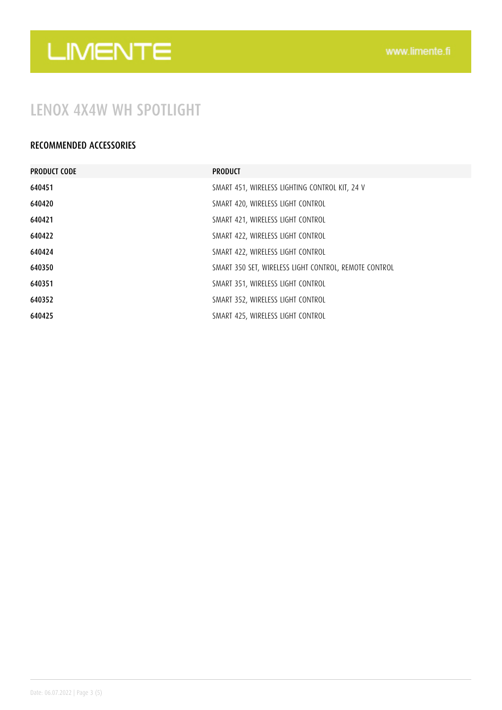## LENOX 4X4W WH SPOTLIGHT

### RECOMMENDED ACCESSORIES

| <b>PRODUCT CODE</b> | <b>PRODUCT</b>                                        |
|---------------------|-------------------------------------------------------|
| 640451              | SMART 451, WIRELESS LIGHTING CONTROL KIT, 24 V        |
| 640420              | SMART 420, WIRELESS LIGHT CONTROL                     |
| 640421              | SMART 421, WIRELESS LIGHT CONTROL                     |
| 640422              | SMART 422, WIRELESS LIGHT CONTROL                     |
| 640424              | SMART 422, WIRELESS LIGHT CONTROL                     |
| 640350              | SMART 350 SET, WIRELESS LIGHT CONTROL, REMOTE CONTROL |
| 640351              | SMART 351, WIRELESS LIGHT CONTROL                     |
| 640352              | SMART 352, WIRELESS LIGHT CONTROL                     |
| 640425              | SMART 425, WIRELESS LIGHT CONTROL                     |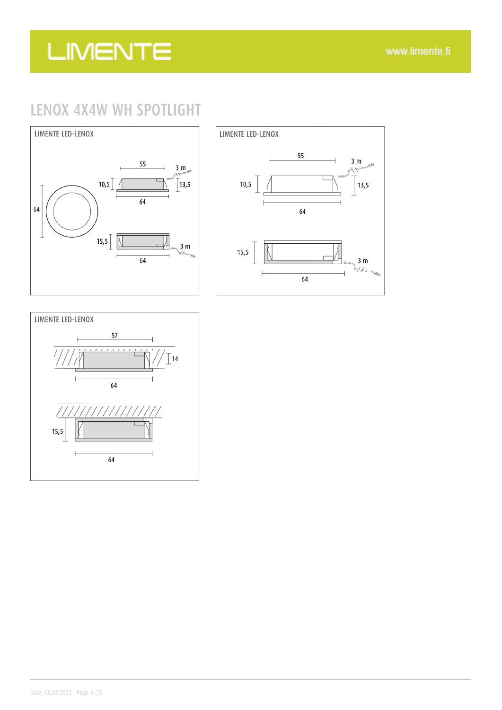## LENOX 4X4W WH SPOTLIGHT